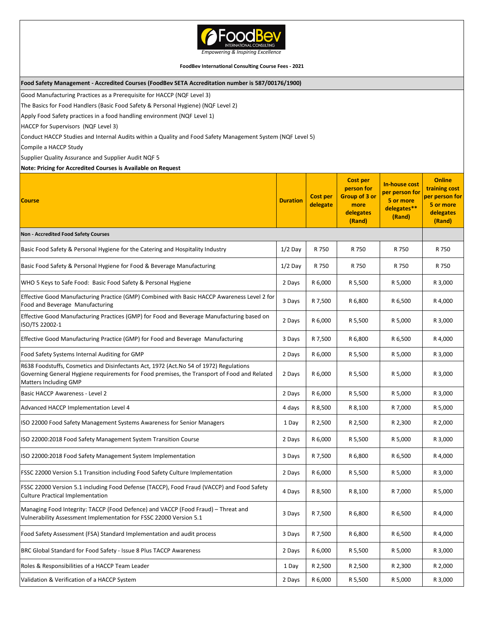

## **FoodBev International Consulting Course Fees - 2021**

## **Food Safety Management - Accredited Courses (FoodBev SETA Accreditation number is 587/00176/1900)**

Good Manufacturing Practices as a Prerequisite for HACCP (NQF Level 3)

The Basics for Food Handlers (Basic Food Safety & Personal Hygiene) (NQF Level 2)

Apply Food Safety practices in a food handling environment (NQF Level 1)

HACCP for Supervisors (NQF Level 3)

Conduct HACCP Studies and Internal Audits within a Quality and Food Safety Management System (NQF Level 5)

Compile a HACCP Study

Supplier Quality Assurance and Supplier Audit NQF 5

**Note: Pricing for Accredited Courses is Available on Request**

| <b>Course</b>                                                                                                                                                                                                  | <b>Duration</b> | <b>Cost per</b><br>delegate | Cost per<br>person for<br><b>Group of 3 or</b><br>more<br>delegates<br>(Rand) | <b>In-house cost</b><br>per person for<br>5 or more<br>delegates**<br>(Rand) | <b>Online</b><br>training cost<br>per person for<br>5 or more<br>delegates<br>(Rand) |
|----------------------------------------------------------------------------------------------------------------------------------------------------------------------------------------------------------------|-----------------|-----------------------------|-------------------------------------------------------------------------------|------------------------------------------------------------------------------|--------------------------------------------------------------------------------------|
| Non - Accredited Food Safety Courses                                                                                                                                                                           |                 |                             |                                                                               |                                                                              |                                                                                      |
| Basic Food Safety & Personal Hygiene for the Catering and Hospitality Industry                                                                                                                                 | $1/2$ Day       | R 750                       | R 750                                                                         | R 750                                                                        | R 750                                                                                |
| Basic Food Safety & Personal Hygiene for Food & Beverage Manufacturing                                                                                                                                         | $1/2$ Day       | R 750                       | R 750                                                                         | R 750                                                                        | R 750                                                                                |
| WHO 5 Keys to Safe Food: Basic Food Safety & Personal Hygiene                                                                                                                                                  | 2 Days          | R 6,000                     | R 5,500                                                                       | R 5,000                                                                      | R 3,000                                                                              |
| Effective Good Manufacturing Practice (GMP) Combined with Basic HACCP Awareness Level 2 for<br>Food and Beverage Manufacturing                                                                                 | 3 Days          | R 7,500                     | R 6,800                                                                       | R 6,500                                                                      | R 4,000                                                                              |
| Effective Good Manufacturing Practices (GMP) for Food and Beverage Manufacturing based on<br>ISO/TS 22002-1                                                                                                    | 2 Days          | R 6,000                     | R 5,500                                                                       | R 5,000                                                                      | R 3,000                                                                              |
| Effective Good Manufacturing Practice (GMP) for Food and Beverage Manufacturing                                                                                                                                | 3 Days          | R 7,500                     | R 6,800                                                                       | R 6,500                                                                      | R 4,000                                                                              |
| Food Safety Systems Internal Auditing for GMP                                                                                                                                                                  | 2 Days          | R 6,000                     | R 5,500                                                                       | R 5,000                                                                      | R 3,000                                                                              |
| R638 Foodstuffs, Cosmetics and Disinfectants Act, 1972 (Act.No 54 of 1972) Regulations<br>Governing General Hygiene requirements for Food premises, the Transport of Food and Related<br>Matters Including GMP | 2 Days          | R 6,000                     | R 5,500                                                                       | R 5,000                                                                      | R 3,000                                                                              |
| <b>Basic HACCP Awareness - Level 2</b>                                                                                                                                                                         | 2 Days          | R 6,000                     | R 5,500                                                                       | R 5,000                                                                      | R 3,000                                                                              |
| Advanced HACCP Implementation Level 4                                                                                                                                                                          | 4 days          | R 8,500                     | R 8,100                                                                       | R 7,000                                                                      | R 5,000                                                                              |
| ISO 22000 Food Safety Management Systems Awareness for Senior Managers                                                                                                                                         | 1 Day           | R 2,500                     | R 2,500                                                                       | R 2,300                                                                      | R 2,000                                                                              |
| ISO 22000:2018 Food Safety Management System Transition Course                                                                                                                                                 | 2 Days          | R 6,000                     | R 5,500                                                                       | R 5,000                                                                      | R 3,000                                                                              |
| ISO 22000:2018 Food Safety Management System Implementation                                                                                                                                                    | 3 Days          | R 7,500                     | R 6,800                                                                       | R 6,500                                                                      | R 4,000                                                                              |
| FSSC 22000 Version 5.1 Transition including Food Safety Culture Implementation                                                                                                                                 | 2 Days          | R 6,000                     | R 5,500                                                                       | R 5,000                                                                      | R 3,000                                                                              |
| FSSC 22000 Version 5.1 including Food Defense (TACCP), Food Fraud (VACCP) and Food Safety<br><b>Culture Practical Implementation</b>                                                                           | 4 Days          | R 8,500                     | R 8,100                                                                       | R 7,000                                                                      | R 5,000                                                                              |
| Managing Food Integrity: TACCP (Food Defence) and VACCP (Food Fraud) - Threat and<br>Vulnerability Assessment Implementation for FSSC 22000 Version 5.1                                                        | 3 Days          | R 7,500                     | R 6,800                                                                       | R 6,500                                                                      | R 4,000                                                                              |
| Food Safety Assessment (FSA) Standard Implementation and audit process                                                                                                                                         | 3 Days          | R 7,500                     | R 6,800                                                                       | R 6,500                                                                      | R 4,000                                                                              |
| BRC Global Standard for Food Safety - Issue 8 Plus TACCP Awareness                                                                                                                                             | 2 Days          | R 6,000                     | R 5,500                                                                       | R 5,000                                                                      | R 3,000                                                                              |
| Roles & Responsibilities of a HACCP Team Leader                                                                                                                                                                | 1 Day           | R 2,500                     | R 2,500                                                                       | R 2,300                                                                      | R 2,000                                                                              |
| Validation & Verification of a HACCP System                                                                                                                                                                    | 2 Days          | R 6,000                     | R 5,500                                                                       | R 5,000                                                                      | R 3,000                                                                              |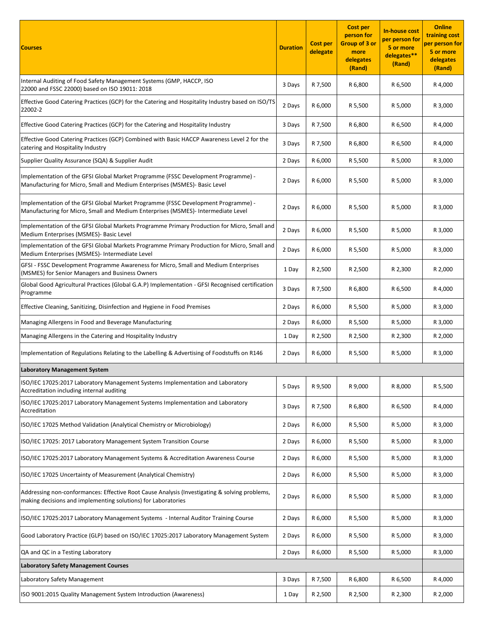| <b>Courses</b>                                                                                                                                                         | <b>Duration</b> | <b>Cost per</b><br>delegate | <b>Cost per</b><br>person for<br><b>Group of 3 or</b><br>more<br>delegates<br>(Rand) | <b>In-house cost</b><br>per person for<br>5 or more<br>delegates**<br>(Rand) | <b>Online</b><br>training cost<br>per person for<br>5 or more<br>delegates<br>(Rand) |
|------------------------------------------------------------------------------------------------------------------------------------------------------------------------|-----------------|-----------------------------|--------------------------------------------------------------------------------------|------------------------------------------------------------------------------|--------------------------------------------------------------------------------------|
| Internal Auditing of Food Safety Management Systems (GMP, HACCP, ISO<br>22000 and FSSC 22000) based on ISO 19011: 2018                                                 | 3 Days          | R 7,500                     | R 6,800                                                                              | R 6,500                                                                      | R 4,000                                                                              |
| Effective Good Catering Practices (GCP) for the Catering and Hospitality Industry based on ISO/TS<br>22002-2                                                           | 2 Days          | R 6,000                     | R 5,500                                                                              | R 5,000                                                                      | R 3,000                                                                              |
| Effective Good Catering Practices (GCP) for the Catering and Hospitality Industry                                                                                      | 3 Days          | R 7,500                     | R 6,800                                                                              | R 6,500                                                                      | R 4,000                                                                              |
| Effective Good Catering Practices (GCP) Combined with Basic HACCP Awareness Level 2 for the<br>catering and Hospitality Industry                                       | 3 Days          | R 7,500                     | R 6,800                                                                              | R 6,500                                                                      | R 4,000                                                                              |
| Supplier Quality Assurance (SQA) & Supplier Audit                                                                                                                      | 2 Days          | R 6,000                     | R 5,500                                                                              | R 5,000                                                                      | R 3,000                                                                              |
| Implementation of the GFSI Global Market Programme (FSSC Development Programme) -<br>Manufacturing for Micro, Small and Medium Enterprises (MSMES)- Basic Level        | 2 Days          | R 6,000                     | R 5,500                                                                              | R 5,000                                                                      | R 3,000                                                                              |
| Implementation of the GFSI Global Market Programme (FSSC Development Programme) -<br>Manufacturing for Micro, Small and Medium Enterprises (MSMES)- Intermediate Level | 2 Days          | R 6,000                     | R 5,500                                                                              | R 5,000                                                                      | R 3,000                                                                              |
| Implementation of the GFSI Global Markets Programme Primary Production for Micro, Small and<br>Medium Enterprises (MSMES)- Basic Level                                 | 2 Days          | R 6,000                     | R 5,500                                                                              | R 5,000                                                                      | R 3,000                                                                              |
| Implementation of the GFSI Global Markets Programme Primary Production for Micro, Small and<br>Medium Enterprises (MSMES)- Intermediate Level                          | 2 Days          | R 6,000                     | R 5,500                                                                              | R 5,000                                                                      | R 3,000                                                                              |
| GFSI - FSSC Development Programme Awareness for Micro, Small and Medium Enterprises<br>(MSMES) for Senior Managers and Business Owners                                 | 1 Day           | R 2,500                     | R 2,500                                                                              | R 2,300                                                                      | R 2,000                                                                              |
| Global Good Agricultural Practices (Global G.A.P) Implementation - GFSI Recognised certification<br>Programme                                                          | 3 Days          | R 7,500                     | R 6,800                                                                              | R 6,500                                                                      | R 4,000                                                                              |
| Effective Cleaning, Sanitizing, Disinfection and Hygiene in Food Premises                                                                                              | 2 Days          | R 6,000                     | R 5,500                                                                              | R 5,000                                                                      | R 3,000                                                                              |
| Managing Allergens in Food and Beverage Manufacturing                                                                                                                  | 2 Days          | R 6,000                     | R 5,500                                                                              | R 5,000                                                                      | R 3,000                                                                              |
| Managing Allergens in the Catering and Hospitality Industry                                                                                                            | 1 Day           | R 2,500                     | R 2,500                                                                              | R 2,300                                                                      | R 2,000                                                                              |
| Implementation of Regulations Relating to the Labelling & Advertising of Foodstuffs on R146                                                                            | 2 Days          | R 6,000                     | R 5,500                                                                              | R 5,000                                                                      | R 3,000                                                                              |
| <b>Laboratory Management System</b>                                                                                                                                    |                 |                             |                                                                                      |                                                                              |                                                                                      |
| ISO/IEC 17025:2017 Laboratory Management Systems Implementation and Laboratory<br>Accreditation including internal auditing                                            | 5 Days          | R 9,500                     | R 9,000                                                                              | R 8,000                                                                      | R 5,500                                                                              |
| ISO/IEC 17025:2017 Laboratory Management Systems Implementation and Laboratory<br>Accreditation                                                                        | 3 Days          | R 7,500                     | R 6,800                                                                              | R 6,500                                                                      | R 4,000                                                                              |
| ISO/IEC 17025 Method Validation (Analytical Chemistry or Microbiology)                                                                                                 | 2 Days          | R 6,000                     | R 5,500                                                                              | R 5,000                                                                      | R 3,000                                                                              |
| ISO/IEC 17025: 2017 Laboratory Management System Transition Course                                                                                                     | 2 Days          | R 6,000                     | R 5,500                                                                              | R 5,000                                                                      | R 3,000                                                                              |
| ISO/IEC 17025:2017 Laboratory Management Systems & Accreditation Awareness Course                                                                                      | 2 Days          | R 6,000                     | R 5,500                                                                              | R 5,000                                                                      | R 3,000                                                                              |
| ISO/IEC 17025 Uncertainty of Measurement (Analytical Chemistry)                                                                                                        | 2 Days          | R 6,000                     | R 5,500                                                                              | R 5,000                                                                      | R 3,000                                                                              |
| Addressing non-conformances: Effective Root Cause Analysis (Investigating & solving problems,<br>making decisions and implementing solutions) for Laboratories         | 2 Days          | R 6,000                     | R 5,500                                                                              | R 5,000                                                                      | R 3,000                                                                              |
| ISO/IEC 17025:2017 Laboratory Management Systems - Internal Auditor Training Course                                                                                    | 2 Days          | R 6,000                     | R 5,500                                                                              | R 5,000                                                                      | R 3,000                                                                              |
| Good Laboratory Practice (GLP) based on ISO/IEC 17025:2017 Laboratory Management System                                                                                | 2 Days          | R 6,000                     | R 5,500                                                                              | R 5,000                                                                      | R 3,000                                                                              |
| QA and QC in a Testing Laboratory                                                                                                                                      | 2 Days          | R 6,000                     | R 5,500                                                                              | R 5,000                                                                      | R 3,000                                                                              |
| <b>Laboratory Safety Management Courses</b>                                                                                                                            |                 |                             |                                                                                      |                                                                              |                                                                                      |
| Laboratory Safety Management                                                                                                                                           | 3 Days          | R 7,500                     | R 6,800                                                                              | R 6,500                                                                      | R 4,000                                                                              |
| ISO 9001:2015 Quality Management System Introduction (Awareness)                                                                                                       | 1 Day           | R 2,500                     | R 2,500                                                                              | R 2,300                                                                      | R 2,000                                                                              |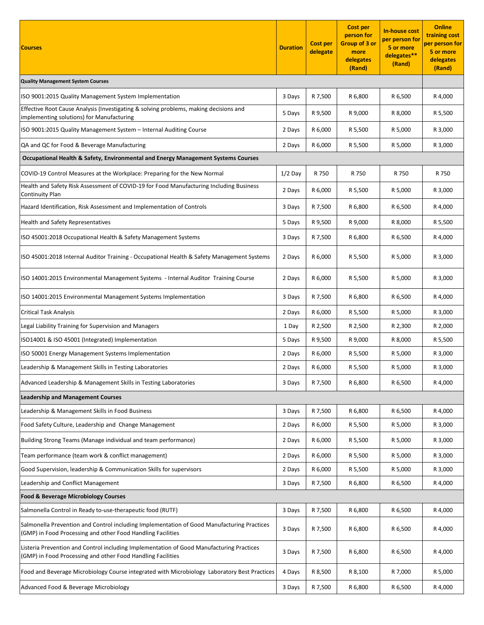| <b>Courses</b>                                                                                                                                            | <b>Duration</b> | <b>Cost per</b><br>delegate | <b>Cost per</b><br>person for<br><b>Group of 3 or</b><br>more<br>delegates<br>(Rand) | <b>In-house cost</b><br>per person for<br>5 or more<br>delegates**<br>(Rand) | <b>Online</b><br>training cost<br>per person for<br>5 or more<br>delegates<br>(Rand) |
|-----------------------------------------------------------------------------------------------------------------------------------------------------------|-----------------|-----------------------------|--------------------------------------------------------------------------------------|------------------------------------------------------------------------------|--------------------------------------------------------------------------------------|
| <b>Quality Management System Courses</b>                                                                                                                  |                 |                             |                                                                                      |                                                                              |                                                                                      |
| ISO 9001:2015 Quality Management System Implementation                                                                                                    | 3 Days          | R 7,500                     | R 6,800                                                                              | R 6,500                                                                      | R4,000                                                                               |
| Effective Root Cause Analysis (Investigating & solving problems, making decisions and<br>implementing solutions) for Manufacturing                        | 5 Days          | R 9,500                     | R 9,000                                                                              | R 8,000                                                                      | R 5,500                                                                              |
| ISO 9001:2015 Quality Management System - Internal Auditing Course                                                                                        | 2 Days          | R 6,000                     | R 5,500                                                                              | R 5,000                                                                      | R 3,000                                                                              |
| QA and QC for Food & Beverage Manufacturing                                                                                                               | 2 Days          | R 6,000                     | R 5,500                                                                              | R 5,000                                                                      | R 3,000                                                                              |
| Occupational Health & Safety, Environmental and Energy Management Systems Courses                                                                         |                 |                             |                                                                                      |                                                                              |                                                                                      |
| COVID-19 Control Measures at the Workplace: Preparing for the New Normal                                                                                  | $1/2$ Day       | R 750                       | R 750                                                                                | R 750                                                                        | R 750                                                                                |
| Health and Safety Risk Assessment of COVID-19 for Food Manufacturing Including Business<br>Continuity Plan                                                | 2 Days          | R 6,000                     | R 5,500                                                                              | R 5,000                                                                      | R 3,000                                                                              |
| Hazard Identification, Risk Assessment and Implementation of Controls                                                                                     | 3 Days          | R 7,500                     | R 6,800                                                                              | R 6,500                                                                      | R4,000                                                                               |
| Health and Safety Representatives                                                                                                                         | 5 Days          | R 9,500                     | R 9,000                                                                              | R 8,000                                                                      | R 5,500                                                                              |
| ISO 45001:2018 Occupational Health & Safety Management Systems                                                                                            | 3 Days          | R 7,500                     | R 6,800                                                                              | R 6,500                                                                      | R 4,000                                                                              |
| ISO 45001:2018 Internal Auditor Training - Occupational Health & Safety Management Systems                                                                | 2 Days          | R 6,000                     | R 5,500                                                                              | R 5,000                                                                      | R 3,000                                                                              |
| ISO 14001:2015 Environmental Management Systems - Internal Auditor Training Course                                                                        | 2 Days          | R 6,000                     | R 5,500                                                                              | R 5,000                                                                      | R 3,000                                                                              |
| ISO 14001:2015 Environmental Management Systems Implementation                                                                                            | 3 Days          | R 7,500                     | R 6,800                                                                              | R 6,500                                                                      | R 4,000                                                                              |
| <b>Critical Task Analysis</b>                                                                                                                             | 2 Days          | R 6,000                     | R 5,500                                                                              | R 5,000                                                                      | R 3,000                                                                              |
| Legal Liability Training for Supervision and Managers                                                                                                     | 1 Day           | R 2,500                     | R 2,500                                                                              | R 2,300                                                                      | R 2,000                                                                              |
| ISO14001 & ISO 45001 (Integrated) Implementation                                                                                                          | 5 Days          | R 9,500                     | R 9,000                                                                              | R 8,000                                                                      | R 5,500                                                                              |
| ISO 50001 Energy Management Systems Implementation                                                                                                        | 2 Days          | R 6,000                     | R 5,500                                                                              | R 5,000                                                                      | R 3,000                                                                              |
| Leadership & Management Skills in Testing Laboratories                                                                                                    | 2 Days          | R 6,000                     | R 5,500                                                                              | R 5,000                                                                      | R 3,000                                                                              |
| Advanced Leadership & Management Skills in Testing Laboratories                                                                                           | 3 Days          | R 7,500                     | R 6,800                                                                              | R 6,500                                                                      | R4,000                                                                               |
| <b>Leadership and Management Courses</b>                                                                                                                  |                 |                             |                                                                                      |                                                                              |                                                                                      |
| Leadership & Management Skills in Food Business                                                                                                           | 3 Days          | R 7,500                     | R 6,800                                                                              | R 6,500                                                                      | R 4,000                                                                              |
| Food Safety Culture, Leadership and Change Management                                                                                                     | 2 Days          | R 6,000                     | R 5,500                                                                              | R 5,000                                                                      | R 3,000                                                                              |
| Building Strong Teams (Manage individual and team performance)                                                                                            | 2 Days          | R 6,000                     | R 5,500                                                                              | R 5,000                                                                      | R 3,000                                                                              |
| Team performance (team work & conflict management)                                                                                                        | 2 Days          | R 6,000                     | R 5,500                                                                              | R 5,000                                                                      | R 3,000                                                                              |
| Good Supervision, leadership & Communication Skills for supervisors                                                                                       | 2 Days          | R 6,000                     | R 5,500                                                                              | R 5,000                                                                      | R 3,000                                                                              |
| Leadership and Conflict Management                                                                                                                        | 3 Days          | R 7,500                     | R 6,800                                                                              | R 6,500                                                                      | R 4,000                                                                              |
| <b>Food &amp; Beverage Microbiology Courses</b>                                                                                                           |                 |                             |                                                                                      |                                                                              |                                                                                      |
| Salmonella Control in Ready to-use-therapeutic food (RUTF)                                                                                                | 3 Days          | R 7,500                     | R 6,800                                                                              | R 6,500                                                                      | R 4,000                                                                              |
| Salmonella Prevention and Control including Implementation of Good Manufacturing Practices<br>(GMP) in Food Processing and other Food Handling Facilities | 3 Days          | R 7,500                     | R 6,800                                                                              | R 6,500                                                                      | R 4,000                                                                              |
| Listeria Prevention and Control including Implementation of Good Manufacturing Practices<br>(GMP) in Food Processing and other Food Handling Facilities   | 3 Days          | R 7,500                     | R 6,800                                                                              | R 6,500                                                                      | R 4,000                                                                              |
| Food and Beverage Microbiology Course integrated with Microbiology Laboratory Best Practices                                                              | 4 Days          | R 8,500                     | R 8,100                                                                              | R 7,000                                                                      | R 5,000                                                                              |
| Advanced Food & Beverage Microbiology                                                                                                                     | 3 Days          | R 7,500                     | R 6,800                                                                              | R 6,500                                                                      | R 4,000                                                                              |